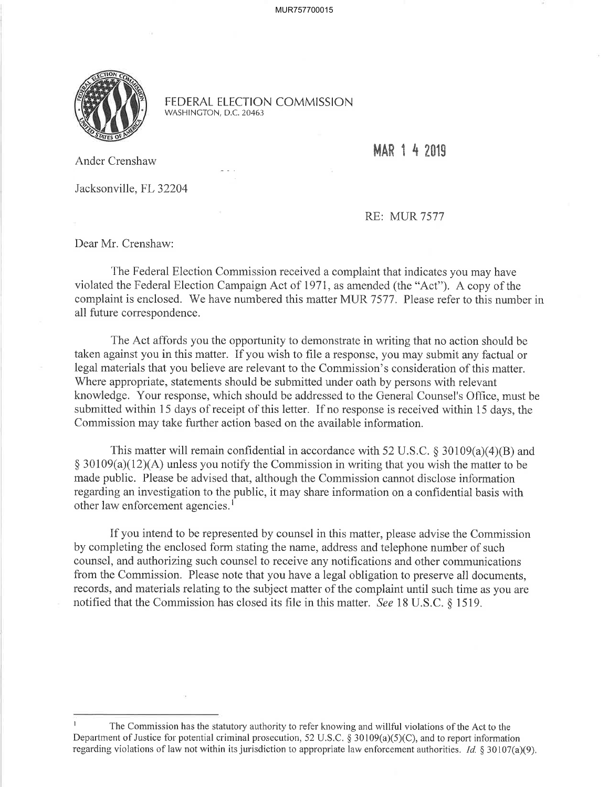

FEDERAL ELECTION COMMISSION WASHINGTON, D.C. 20463

MAR 1 4 2019

Ander Crenshaw

Jacksonville, FL 32204

RE: MUR 7577

Dear Mr. Crenshaw:

The Federal Election Commission received a complaint that indicates you may have violated the Federal Election Campaign Act of 1971 , as amended (the "Act"). A copy of the complaint is enclosed. We have numbered this matter MUR 7577. Please refer to this number in all future correspondence.

The Act affords you the opportunity to demonstrate in writing that no action should be taken against you in this matter. If you wish to file a response, you may submit any factual or legal materials that you believe are relevant to the Commission's consideration of this matter. Where appropriate, statements should be submitted under oath by persons with relevant knowledge. Your response, which should be addressed to the General Counsel's Offîce, must be submitted within 15 days of receipt of this letter. If no response is received within 15 days, the Commission may take further action based on the available information.

This matter will remain confidential in accordance with 52 U.S.C. § 30109(a)(4)(B) and  $\S 30109(a)(12)(A)$  unless you notify the Commission in writing that you wish the matter to be made public. Please be advised that, although the Commission cannot disclose information regarding an investigation to the public, it may share information on a confidential basis with other law enforcement agencies.<sup>1</sup>

If you intend to be represented by counsel in this matter, please advise the Commission by completing the enclosed form stating the name, address and telephone number of such counsel, and authorizing such counsel to receive any notifications and other communications from the Commission. Please note that you have a legal obligation to preserve all documents, records, and materials relating to the subject matter of the complaint until such time as you are notified that the Commission has closed its file in this matter. See 18 U.S.C. \$ 1519.

I The Commission has the statutory authority to refer knowing and willful violations of the Act to the Department of Justice for potential criminal prosecution, 52 U.S.C. \$ 30109(a)(5)(C), and to report information regarding violations of law not within its jurisdiction to appropriate law enforcement authorities. *Id.* § 30107(a)(9).